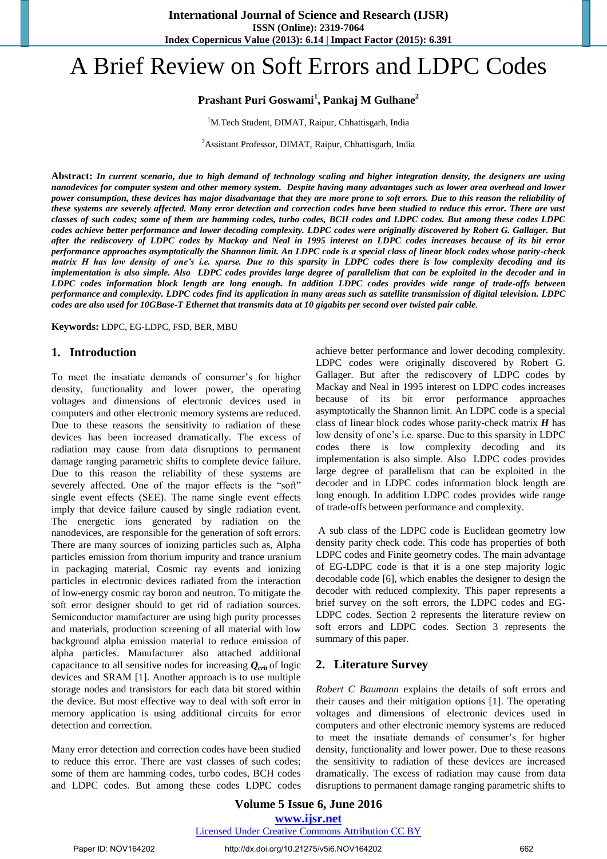# A Brief Review on Soft Errors and LDPC Codes

## **Prashant Puri Goswami<sup>1</sup> , Pankaj M Gulhane<sup>2</sup>**

#### <sup>1</sup>M.Tech Student, DIMAT, Raipur, Chhattisgarh, India

<sup>2</sup>Assistant Professor, DIMAT, Raipur, Chhattisgarh, India

**Abstract:** *In current scenario, due to high demand of technology scaling and higher integration density, the designers are using nanodevices for computer system and other memory system. Despite having many advantages such as lower area overhead and lower power consumption, these devices has major disadvantage that they are more prone to soft errors. Due to this reason the reliability of these systems are severely affected. Many error detection and correction codes have been studied to reduce this error. There are vast classes of such codes; some of them are hamming codes, turbo codes, BCH codes and LDPC codes. But among these codes LDPC codes achieve better performance and lower decoding complexity. LDPC codes were originally discovered by Robert G. Gallager. But after the rediscovery of LDPC codes by Mackay and Neal in 1995 interest on LDPC codes increases because of its bit error performance approaches asymptotically the Shannon limit. An LDPC code is a special class of linear block codes whose parity-check matrix H has low density of one's i.e. sparse. Due to this sparsity in LDPC codes there is low complexity decoding and its implementation is also simple. Also LDPC codes provides large degree of parallelism that can be exploited in the decoder and in LDPC codes information block length are long enough. In addition LDPC codes provides wide range of trade-offs between performance and complexity. LDPC codes find its application in many areas such as satellite transmission of digital television. LDPC codes are also used for 10GBase-T Ethernet that transmits data at 10 gigabits per second over twisted pair cable.* 

**Keywords:** LDPC, EG-LDPC, FSD, BER, MBU

#### **1. Introduction**

To meet the insatiate demands of consumer's for higher density, functionality and lower power, the operating voltages and dimensions of electronic devices used in computers and other electronic memory systems are reduced. Due to these reasons the sensitivity to radiation of these devices has been increased dramatically. The excess of radiation may cause from data disruptions to permanent damage ranging parametric shifts to complete device failure. Due to this reason the reliability of these systems are severely affected*.* One of the major effects is the "soft" single event effects (SEE). The name single event effects imply that device failure caused by single radiation event. The energetic ions generated by radiation on the nanodevices, are responsible for the generation of soft errors. There are many sources of ionizing particles such as, Alpha particles emission from thorium impurity and trance uranium in packaging material, Cosmic ray events and ionizing particles in electronic devices radiated from the interaction of low-energy cosmic ray boron and neutron. To mitigate the soft error designer should to get rid of radiation sources. Semiconductor manufacturer are using high purity processes and materials, production screening of all material with low background alpha emission material to reduce emission of alpha particles. Manufacturer also attached additional capacitance to all sensitive nodes for increasing  $Q_{\text{crit}}$  of logic devices and SRAM [1]. Another approach is to use multiple storage nodes and transistors for each data bit stored within the device. But most effective way to deal with soft error in memory application is using additional circuits for error detection and correction.

Many error detection and correction codes have been studied to reduce this error. There are vast classes of such codes; some of them are hamming codes, turbo codes, BCH codes and LDPC codes. But among these codes LDPC codes achieve better performance and lower decoding complexity. LDPC codes were originally discovered by Robert G. Gallager. But after the rediscovery of LDPC codes by Mackay and Neal in 1995 interest on LDPC codes increases because of its bit error performance approaches asymptotically the Shannon limit. An LDPC code is a special class of linear block codes whose parity-check matrix *H* has low density of one's i.e. sparse. Due to this sparsity in LDPC codes there is low complexity decoding and its implementation is also simple. Also LDPC codes provides large degree of parallelism that can be exploited in the decoder and in LDPC codes information block length are long enough. In addition LDPC codes provides wide range of trade-offs between performance and complexity.

A sub class of the LDPC code is Euclidean geometry low density parity check code. This code has properties of both LDPC codes and Finite geometry codes. The main advantage of EG-LDPC code is that it is a one step majority logic decodable code [6], which enables the designer to design the decoder with reduced complexity. This paper represents a brief survey on the soft errors, the LDPC codes and EG-LDPC codes. Section 2 represents the literature review on soft errors and LDPC codes. Section 3 represents the summary of this paper.

## **2. Literature Survey**

*Robert C Baumann* explains the details of soft errors and their causes and their mitigation options [1]. The operating voltages and dimensions of electronic devices used in computers and other electronic memory systems are reduced to meet the insatiate demands of consumer's for higher density, functionality and lower power. Due to these reasons the sensitivity to radiation of these devices are increased dramatically. The excess of radiation may cause from data disruptions to permanent damage ranging parametric shifts to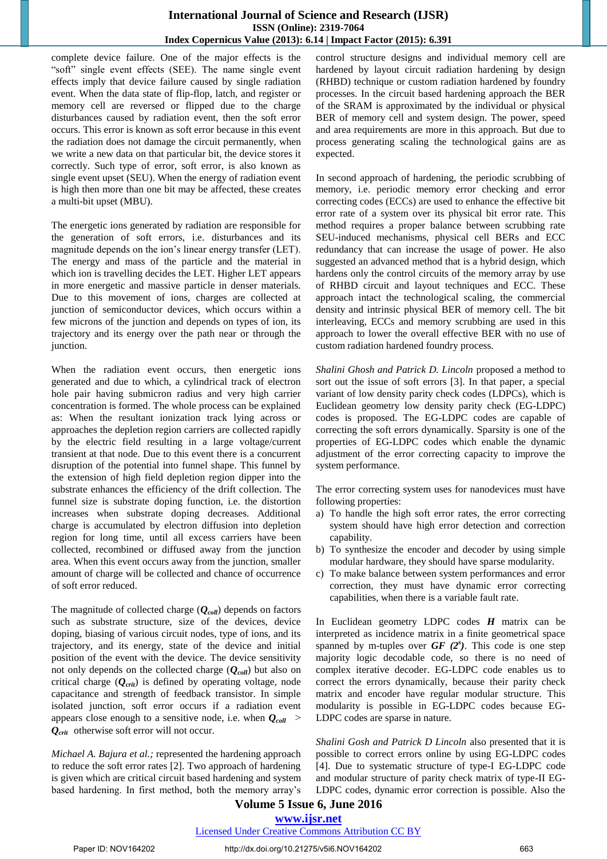## **International Journal of Science and Research (IJSR) ISSN (Online): 2319-7064 Index Copernicus Value (2013): 6.14 | Impact Factor (2015): 6.391**

complete device failure. One of the major effects is the "soft" single event effects (SEE). The name single event effects imply that device failure caused by single radiation event. When the data state of flip-flop, latch, and register or memory cell are reversed or flipped due to the charge disturbances caused by radiation event, then the soft error occurs. This error is known as soft error because in this event the radiation does not damage the circuit permanently, when we write a new data on that particular bit, the device stores it correctly. Such type of error, soft error, is also known as single event upset (SEU). When the energy of radiation event is high then more than one bit may be affected, these creates a multi-bit upset (MBU).

The energetic ions generated by radiation are responsible for the generation of soft errors, i.e. disturbances and its magnitude depends on the ion's linear energy transfer (LET). The energy and mass of the particle and the material in which ion is travelling decides the LET. Higher LET appears in more energetic and massive particle in denser materials. Due to this movement of ions, charges are collected at junction of semiconductor devices, which occurs within a few microns of the junction and depends on types of ion, its trajectory and its energy over the path near or through the junction.

When the radiation event occurs, then energetic ions generated and due to which, a cylindrical track of electron hole pair having submicron radius and very high carrier concentration is formed. The whole process can be explained as: When the resultant ionization track lying across or approaches the depletion region carriers are collected rapidly by the electric field resulting in a large voltage/current transient at that node. Due to this event there is a concurrent disruption of the potential into funnel shape. This funnel by the extension of high field depletion region dipper into the substrate enhances the efficiency of the drift collection. The funnel size is substrate doping function, i.e. the distortion increases when substrate doping decreases. Additional charge is accumulated by electron diffusion into depletion region for long time, until all excess carriers have been collected, recombined or diffused away from the junction area. When this event occurs away from the junction, smaller amount of charge will be collected and chance of occurrence of soft error reduced.

The magnitude of collected charge  $(Q_{coll})$  depends on factors such as substrate structure, size of the devices, device doping, biasing of various circuit nodes, type of ions, and its trajectory, and its energy, state of the device and initial position of the event with the device. The device sensitivity not only depends on the collected charge (*Qcoll*) but also on critical charge (*Qcrit*) is defined by operating voltage, node capacitance and strength of feedback transistor. In simple isolated junction, soft error occurs if a radiation event appears close enough to a sensitive node, i.e. when  $Q_{coll}$  > *Qcrit* otherwise soft error will not occur.

*Michael A. Bajura et al.;* represented the hardening approach to reduce the soft error rates [2]. Two approach of hardening is given which are critical circuit based hardening and system based hardening. In first method, both the memory array's control structure designs and individual memory cell are hardened by layout circuit radiation hardening by design (RHBD) technique or custom radiation hardened by foundry processes. In the circuit based hardening approach the BER of the SRAM is approximated by the individual or physical BER of memory cell and system design. The power, speed and area requirements are more in this approach. But due to process generating scaling the technological gains are as expected.

In second approach of hardening, the periodic scrubbing of memory, i.e. periodic memory error checking and error correcting codes (ECCs) are used to enhance the effective bit error rate of a system over its physical bit error rate. This method requires a proper balance between scrubbing rate SEU-induced mechanisms, physical cell BERs and ECC redundancy that can increase the usage of power. He also suggested an advanced method that is a hybrid design, which hardens only the control circuits of the memory array by use of RHBD circuit and layout techniques and ECC. These approach intact the technological scaling, the commercial density and intrinsic physical BER of memory cell. The bit interleaving, ECCs and memory scrubbing are used in this approach to lower the overall effective BER with no use of custom radiation hardened foundry process.

*Shalini Ghosh and Patrick D. Lincoln* proposed a method to sort out the issue of soft errors [3]. In that paper, a special variant of low density parity check codes (LDPCs), which is Euclidean geometry low density parity check (EG-LDPC) codes is proposed. The EG-LDPC codes are capable of correcting the soft errors dynamically. Sparsity is one of the properties of EG-LDPC codes which enable the dynamic adjustment of the error correcting capacity to improve the system performance.

The error correcting system uses for nanodevices must have following properties:

- a) To handle the high soft error rates, the error correcting system should have high error detection and correction capability.
- b) To synthesize the encoder and decoder by using simple modular hardware, they should have sparse modularity.
- c) To make balance between system performances and error correction, they must have dynamic error correcting capabilities, when there is a variable fault rate.

In Euclidean geometry LDPC codes *H* matrix can be interpreted as incidence matrix in a finite geometrical space spanned by m-tuples over  $GF(2^s)$ . This code is one step majority logic decodable code, so there is no need of complex iterative decoder. EG-LDPC code enables us to correct the errors dynamically, because their parity check matrix and encoder have regular modular structure. This modularity is possible in EG-LDPC codes because EG-LDPC codes are sparse in nature.

*Shalini Gosh and Patrick D Lincoln* also presented that it is possible to correct errors online by using EG-LDPC codes [4]. Due to systematic structure of type-I EG-LDPC code and modular structure of parity check matrix of type-II EG-LDPC codes, dynamic error correction is possible. Also the

## **Volume 5 Issue 6, June 2016**

## **www.ijsr.net**

## Licensed Under Creative Commons Attribution CC BY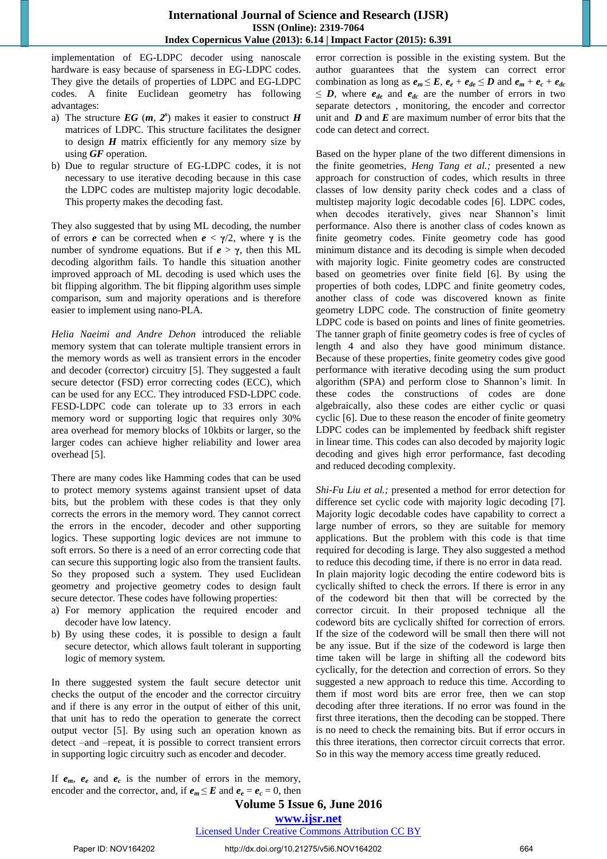#### **International Journal of Science and Research (IJSR) ISSN (Online): 2319-7064 Index Copernicus Value (2013): 6.14 | Impact Factor (2015): 6.391**

implementation of EG-LDPC decoder using nanoscale hardware is easy because of sparseness in EG-LDPC codes. They give the details of properties of LDPC and EG-LDPC codes. A finite Euclidean geometry has following advantages:

- a) The structure  $EG(m, 2^s)$  makes it easier to construct *H* matrices of LDPC. This structure facilitates the designer to design *H* matrix efficiently for any memory size by using *GF* operation.
- b) Due to regular structure of EG-LDPC codes, it is not necessary to use iterative decoding because in this case the LDPC codes are multistep majority logic decodable. This property makes the decoding fast.

They also suggested that by using ML decoding, the number of errors *e* can be corrected when  $e < \gamma/2$ , where  $\gamma$  is the number of syndrome equations. But if  $e > \gamma$ , then this ML decoding algorithm fails. To handle this situation another improved approach of ML decoding is used which uses the bit flipping algorithm. The bit flipping algorithm uses simple comparison, sum and majority operations and is therefore easier to implement using nano-PLA.

*Helia Naeimi and Andre Dehon* introduced the reliable memory system that can tolerate multiple transient errors in the memory words as well as transient errors in the encoder and decoder (corrector) circuitry [5]. They suggested a fault secure detector (FSD) error correcting codes (ECC), which can be used for any ECC. They introduced FSD-LDPC code. FESD-LDPC code can tolerate up to 33 errors in each memory word or supporting logic that requires only 30% area overhead for memory blocks of 10kbits or larger, so the larger codes can achieve higher reliability and lower area overhead [5].

There are many codes like Hamming codes that can be used to protect memory systems against transient upset of data bits, but the problem with these codes is that they only corrects the errors in the memory word. They cannot correct the errors in the encoder, decoder and other supporting logics. These supporting logic devices are not immune to soft errors. So there is a need of an error correcting code that can secure this supporting logic also from the transient faults. So they proposed such a system. They used Euclidean geometry and projective geometry codes to design fault secure detector. These codes have following properties:

- a) For memory application the required encoder and decoder have low latency.
- b) By using these codes, it is possible to design a fault secure detector, which allows fault tolerant in supporting logic of memory system.

In there suggested system the fault secure detector unit checks the output of the encoder and the corrector circuitry and if there is any error in the output of either of this unit, that unit has to redo the operation to generate the correct output vector [5]. By using such an operation known as detect –and –repeat, it is possible to correct transient errors in supporting logic circuitry such as encoder and decoder.

error correction is possible in the existing system. But the author guarantees that the system can correct error combination as long as  $e_m \leq E$ ,  $e_e + e_{de} \leq D$  and  $e_m + e_c + e_{de}$  $\leq D$ , where  $e_{de}$  and  $e_{de}$  are the number of errors in two separate detectors , monitoring, the encoder and corrector unit and *D* and *E* are maximum number of error bits that the code can detect and correct.

Based on the hyper plane of the two different dimensions in the finite geometries, *Heng Tang et al.;* presented a new approach for construction of codes, which results in three classes of low density parity check codes and a class of multistep majority logic decodable codes [6]. LDPC codes, when decodes iteratively, gives near Shannon's limit performance. Also there is another class of codes known as finite geometry codes. Finite geometry code has good minimum distance and its decoding is simple when decoded with majority logic. Finite geometry codes are constructed based on geometries over finite field [6]. By using the properties of both codes, LDPC and finite geometry codes, another class of code was discovered known as finite geometry LDPC code. The construction of finite geometry LDPC code is based on points and lines of finite geometries. The tanner graph of finite geometry codes is free of cycles of length 4 and also they have good minimum distance. Because of these properties, finite geometry codes give good performance with iterative decoding using the sum product algorithm (SPA) and perform close to Shannon's limit. In these codes the constructions of codes are done algebraically, also these codes are either cyclic or quasi cyclic [6]. Due to these reason the encoder of finite geometry LDPC codes can be implemented by feedback shift register in linear time. This codes can also decoded by majority logic decoding and gives high error performance, fast decoding and reduced decoding complexity.

*Shi-Fu Liu et al.;* presented a method for error detection for difference set cyclic code with majority logic decoding [7]. Majority logic decodable codes have capability to correct a large number of errors, so they are suitable for memory applications. But the problem with this code is that time required for decoding is large. They also suggested a method to reduce this decoding time, if there is no error in data read. In plain majority logic decoding the entire codeword bits is cyclically shifted to check the errors. If there is error in any of the codeword bit then that will be corrected by the corrector circuit. In their proposed technique all the codeword bits are cyclically shifted for correction of errors. If the size of the codeword will be small then there will not be any issue. But if the size of the codeword is large then time taken will be large in shifting all the codeword bits cyclically, for the detection and correction of errors. So they suggested a new approach to reduce this time. According to them if most word bits are error free, then we can stop decoding after three iterations. If no error was found in the first three iterations, then the decoding can be stopped. There is no need to check the remaining bits. But if error occurs in this three iterations, then corrector circuit corrects that error. So in this way the memory access time greatly reduced.

If  $e_m$ ,  $e_e$  and  $e_c$  is the number of errors in the memory, encoder and the corrector, and, if  $e_m \le E$  and  $e_e = e_c = 0$ , then

**Volume 5 Issue 6, June 2016**

**www.ijsr.net**

## Licensed Under Creative Commons Attribution CC BY